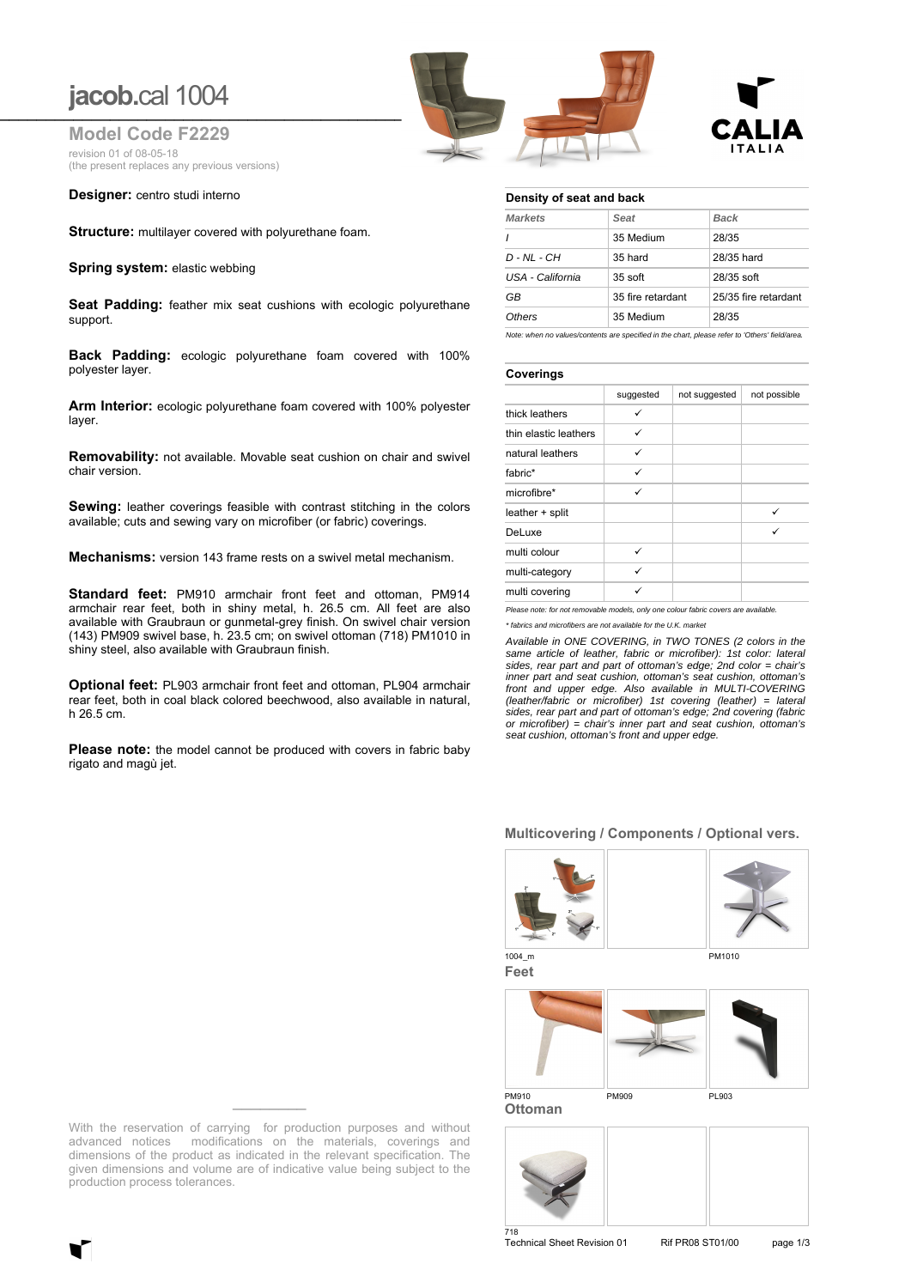### **jacob.**cal 1004 **\_\_\_\_\_\_\_\_\_\_\_\_\_\_\_\_\_\_\_\_\_\_\_\_\_\_\_\_\_\_\_\_\_\_\_\_\_\_\_\_\_\_\_\_\_\_\_\_\_\_\_\_\_\_\_\_\_\_\_\_\_\_\_\_\_**

**Model Code F2229** revision 01 of 08-05-18 (the present replaces any previous versions)

**Designer:** centro studi interno

**Structure:** multilayer covered with polyurethane foam.

**Spring system: elastic webbing** 

**Seat Padding:** feather mix seat cushions with ecologic polyurethane support.

**Back Padding:** ecologic polyurethane foam covered with 100% polyester layer.

**Arm Interior:** ecologic polyurethane foam covered with 100% polyester layer.

**Removability:** not available. Movable seat cushion on chair and swivel chair version.

**Sewing:** leather coverings feasible with contrast stitching in the colors available; cuts and sewing vary on microfiber (or fabric) coverings.

**Mechanisms:** version 143 frame rests on a swivel metal mechanism.

**Standard feet:** PM910 armchair front feet and ottoman, PM914 armchair rear feet, both in shiny metal, h. 26.5 cm. All feet are also available with Graubraun or gunmetal-grey finish. On swivel chair version (143) PM909 swivel base, h. 23.5 cm; on swivel ottoman (718) PM1010 in shiny steel, also available with Graubraun finish.

**Optional feet:** PL903 armchair front feet and ottoman, PL904 armchair rear feet, both in coal black colored beechwood, also available in natural, h 26.5 cm.

**Please note:** the model cannot be produced with covers in fabric baby rigato and magù jet.





#### **Density of seat and back**

| Seat              | <b>Back</b>          |  |  |
|-------------------|----------------------|--|--|
| 35 Medium         | 28/35                |  |  |
| 35 hard           | 28/35 hard           |  |  |
| 35 soft           | $28/35$ soft         |  |  |
| 35 fire retardant | 25/35 fire retardant |  |  |
| 35 Medium         | 28/35                |  |  |
|                   |                      |  |  |

*Note: when no values/contents are specified in the chart, please refer to 'Others' field/area.*

#### **Coverings**

|                       | suggested | not suggested | not possible |
|-----------------------|-----------|---------------|--------------|
| thick leathers        | ✓         |               |              |
| thin elastic leathers | ✓         |               |              |
| natural leathers      | ✓         |               |              |
| fabric*               | ✓         |               |              |
| microfibre*           | ✓         |               |              |
| leather + split       |           |               | ✓            |
| DeLuxe                |           |               | ✓            |
| multi colour          | ✓         |               |              |
| multi-category        | ✓         |               |              |
| multi covering        |           |               |              |

*Please note: for not removable models, only one colour fabric covers are available. \* fabrics and microfibers are not available for the U.K. market*

*Available in ONE COVERING, in TWO TONES (2 colors in the same article of leather, fabric or microfiber): 1st color: lateral sides, rear part and part of ottoman's edge; 2nd color = chair's inner part and seat cushion, ottoman's seat cushion, ottoman's front and upper edge. Also available in MULTI-COVERING (leather/fabric or microfiber) 1st covering (leather) = lateral sides, rear part and part of ottoman's edge; 2nd covering (fabric or microfiber) = chair's inner part and seat cushion, ottoman's seat cushion, ottoman's front and upper edge.*

#### **Multicovering / Components / Optional vers.**





**Feet**

1004 m PM1010



**Ottoman**



With the reservation of carrying for production purposes and without advanced notices modifications on the materials, coverings and dimensions of the product as indicated in the relevant specification. The given dimensions and volume are of indicative value being subject to the production process tolerances.

Technical Sheet Revision 01 Rif PR08 ST01/00 page 1/3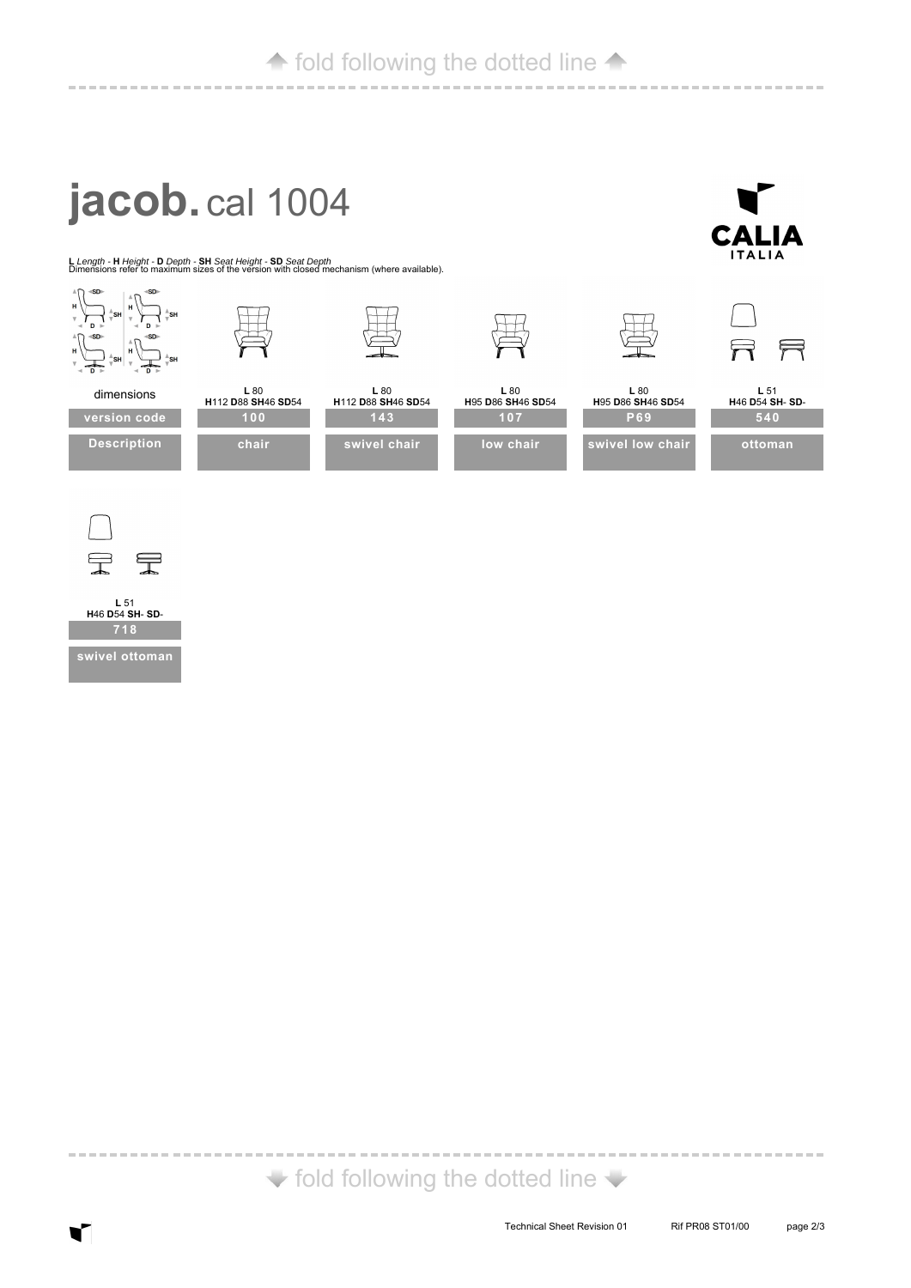----------------------------

**CALIA**  $ITALIA$ 

# **jacob.** cal 1004

------------

**<sup>L</sup>***Length -* **<sup>H</sup>***Height -* **<sup>D</sup>***Depth -* **SH** *Seat Height -* **SD** *Seat Depth* Dimensions refer to maximum sizes of the version with closed mechanism (where available).